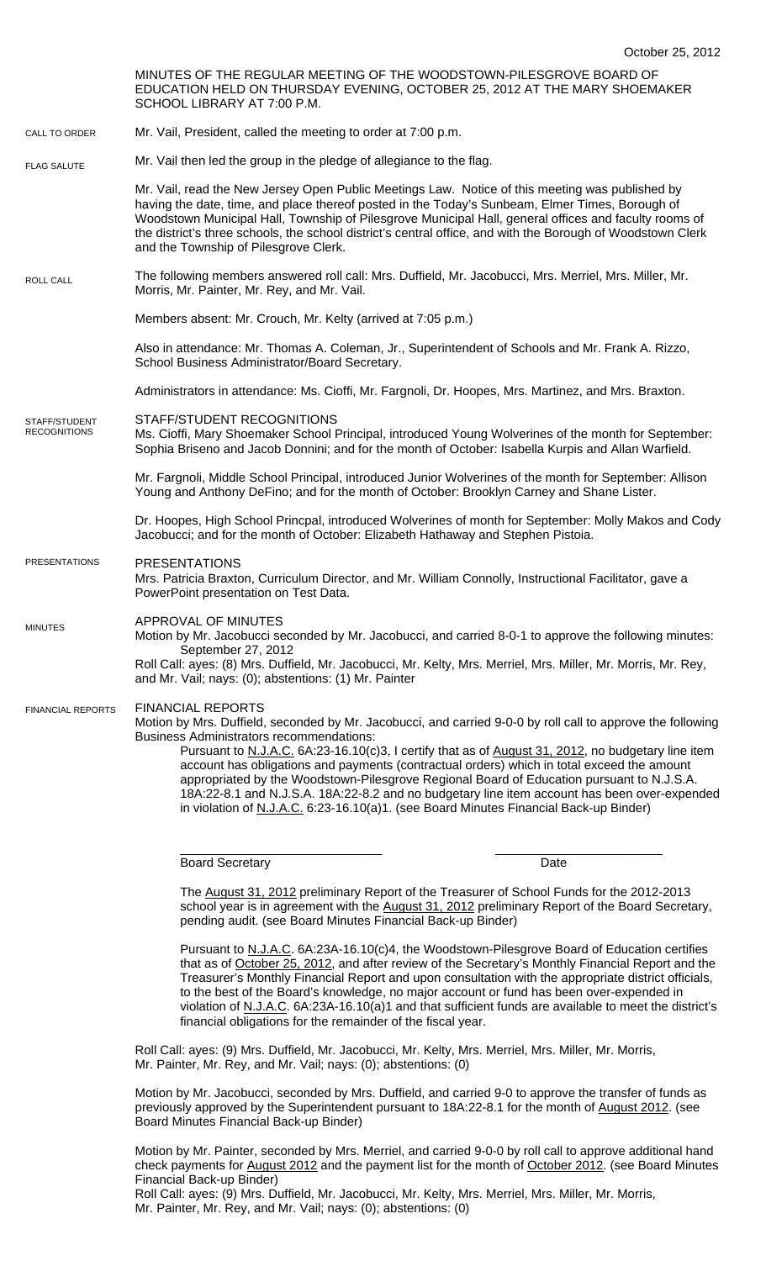|                                      | October 25, 2012                                                                                                                                                                                                                                                                                                                                                                                                                                                                                                                                                                                                                                                                     |
|--------------------------------------|--------------------------------------------------------------------------------------------------------------------------------------------------------------------------------------------------------------------------------------------------------------------------------------------------------------------------------------------------------------------------------------------------------------------------------------------------------------------------------------------------------------------------------------------------------------------------------------------------------------------------------------------------------------------------------------|
|                                      | MINUTES OF THE REGULAR MEETING OF THE WOODSTOWN-PILESGROVE BOARD OF<br>EDUCATION HELD ON THURSDAY EVENING, OCTOBER 25, 2012 AT THE MARY SHOEMAKER<br>SCHOOL LIBRARY AT 7:00 P.M.                                                                                                                                                                                                                                                                                                                                                                                                                                                                                                     |
| CALL TO ORDER                        | Mr. Vail, President, called the meeting to order at 7:00 p.m.                                                                                                                                                                                                                                                                                                                                                                                                                                                                                                                                                                                                                        |
| <b>FLAG SALUTE</b>                   | Mr. Vail then led the group in the pledge of allegiance to the flag.                                                                                                                                                                                                                                                                                                                                                                                                                                                                                                                                                                                                                 |
|                                      | Mr. Vail, read the New Jersey Open Public Meetings Law. Notice of this meeting was published by<br>having the date, time, and place thereof posted in the Today's Sunbeam, Elmer Times, Borough of<br>Woodstown Municipal Hall, Township of Pilesgrove Municipal Hall, general offices and faculty rooms of<br>the district's three schools, the school district's central office, and with the Borough of Woodstown Clerk<br>and the Township of Pilesgrove Clerk.                                                                                                                                                                                                                  |
| ROLL CALL                            | The following members answered roll call: Mrs. Duffield, Mr. Jacobucci, Mrs. Merriel, Mrs. Miller, Mr.<br>Morris, Mr. Painter, Mr. Rey, and Mr. Vail.                                                                                                                                                                                                                                                                                                                                                                                                                                                                                                                                |
|                                      | Members absent: Mr. Crouch, Mr. Kelty (arrived at 7:05 p.m.)                                                                                                                                                                                                                                                                                                                                                                                                                                                                                                                                                                                                                         |
|                                      | Also in attendance: Mr. Thomas A. Coleman, Jr., Superintendent of Schools and Mr. Frank A. Rizzo,<br>School Business Administrator/Board Secretary.                                                                                                                                                                                                                                                                                                                                                                                                                                                                                                                                  |
|                                      | Administrators in attendance: Ms. Cioffi, Mr. Fargnoli, Dr. Hoopes, Mrs. Martinez, and Mrs. Braxton.                                                                                                                                                                                                                                                                                                                                                                                                                                                                                                                                                                                 |
| STAFF/STUDENT<br><b>RECOGNITIONS</b> | STAFF/STUDENT RECOGNITIONS<br>Ms. Cioffi, Mary Shoemaker School Principal, introduced Young Wolverines of the month for September:<br>Sophia Briseno and Jacob Donnini; and for the month of October: Isabella Kurpis and Allan Warfield.                                                                                                                                                                                                                                                                                                                                                                                                                                            |
|                                      | Mr. Fargnoli, Middle School Principal, introduced Junior Wolverines of the month for September: Allison<br>Young and Anthony DeFino; and for the month of October: Brooklyn Carney and Shane Lister.                                                                                                                                                                                                                                                                                                                                                                                                                                                                                 |
|                                      | Dr. Hoopes, High School Princpal, introduced Wolverines of month for September: Molly Makos and Cody<br>Jacobucci; and for the month of October: Elizabeth Hathaway and Stephen Pistoia.                                                                                                                                                                                                                                                                                                                                                                                                                                                                                             |
| <b>PRESENTATIONS</b>                 | <b>PRESENTATIONS</b><br>Mrs. Patricia Braxton, Curriculum Director, and Mr. William Connolly, Instructional Facilitator, gave a<br>PowerPoint presentation on Test Data.                                                                                                                                                                                                                                                                                                                                                                                                                                                                                                             |
| <b>MINUTES</b>                       | APPROVAL OF MINUTES<br>Motion by Mr. Jacobucci seconded by Mr. Jacobucci, and carried 8-0-1 to approve the following minutes:<br>September 27, 2012<br>Roll Call: ayes: (8) Mrs. Duffield, Mr. Jacobucci, Mr. Kelty, Mrs. Merriel, Mrs. Miller, Mr. Morris, Mr. Rey,<br>and Mr. Vail; nays: (0); abstentions: (1) Mr. Painter                                                                                                                                                                                                                                                                                                                                                        |
| <b>FINANCIAL REPORTS</b>             | <b>FINANCIAL REPORTS</b><br>Motion by Mrs. Duffield, seconded by Mr. Jacobucci, and carried 9-0-0 by roll call to approve the following<br><b>Business Administrators recommendations:</b><br>Pursuant to N.J.A.C. 6A:23-16.10(c)3, I certify that as of August 31, 2012, no budgetary line item<br>account has obligations and payments (contractual orders) which in total exceed the amount<br>appropriated by the Woodstown-Pilesgrove Regional Board of Education pursuant to N.J.S.A.<br>18A:22-8.1 and N.J.S.A. 18A:22-8.2 and no budgetary line item account has been over-expended<br>in violation of N.J.A.C. 6:23-16.10(a)1. (see Board Minutes Financial Back-up Binder) |

\_\_\_\_\_\_\_\_\_\_\_\_\_\_\_\_\_\_\_\_\_\_\_\_\_\_\_\_\_ \_\_\_\_\_\_\_\_\_\_\_\_\_\_\_\_\_\_\_\_\_\_\_\_ Board Secretary **Date** 

The August 31, 2012 preliminary Report of the Treasurer of School Funds for the 2012-2013 school year is in agreement with the August 31, 2012 preliminary Report of the Board Secretary, pending audit. (see Board Minutes Financial Back-up Binder)

Pursuant to N.J.A.C. 6A:23A-16.10(c)4, the Woodstown-Pilesgrove Board of Education certifies that as of October 25, 2012, and after review of the Secretary's Monthly Financial Report and the Treasurer's Monthly Financial Report and upon consultation with the appropriate district officials, to the best of the Board's knowledge, no major account or fund has been over-expended in violation of N.J.A.C. 6A:23A-16.10(a)1 and that sufficient funds are available to meet the district's financial obligations for the remainder of the fiscal year.

Roll Call: ayes: (9) Mrs. Duffield, Mr. Jacobucci, Mr. Kelty, Mrs. Merriel, Mrs. Miller, Mr. Morris, Mr. Painter, Mr. Rey, and Mr. Vail; nays: (0); abstentions: (0)

Motion by Mr. Jacobucci, seconded by Mrs. Duffield, and carried 9-0 to approve the transfer of funds as previously approved by the Superintendent pursuant to 18A:22-8.1 for the month of August 2012. (see Board Minutes Financial Back-up Binder)

Motion by Mr. Painter, seconded by Mrs. Merriel, and carried 9-0-0 by roll call to approve additional hand check payments for August 2012 and the payment list for the month of October 2012. (see Board Minutes Financial Back-up Binder)

Roll Call: ayes: (9) Mrs. Duffield, Mr. Jacobucci, Mr. Kelty, Mrs. Merriel, Mrs. Miller, Mr. Morris, Mr. Painter, Mr. Rey, and Mr. Vail; nays: (0); abstentions: (0)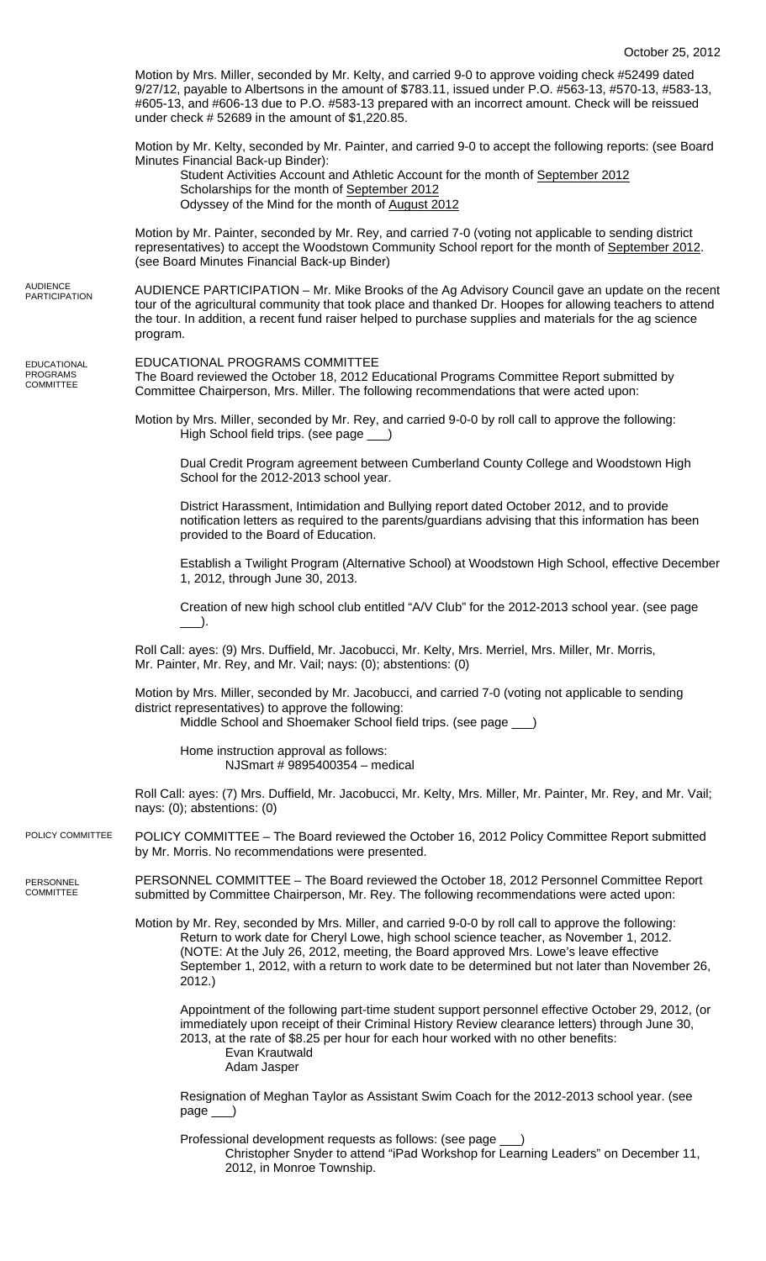|                                             | Motion by Mrs. Miller, seconded by Mr. Kelty, and carried 9-0 to approve voiding check #52499 dated<br>9/27/12, payable to Albertsons in the amount of \$783.11, issued under P.O. #563-13, #570-13, #583-13,<br>#605-13, and #606-13 due to P.O. #583-13 prepared with an incorrect amount. Check will be reissued<br>under check $# 52689$ in the amount of $$1,220.85$ .                       |
|---------------------------------------------|---------------------------------------------------------------------------------------------------------------------------------------------------------------------------------------------------------------------------------------------------------------------------------------------------------------------------------------------------------------------------------------------------|
|                                             | Motion by Mr. Kelty, seconded by Mr. Painter, and carried 9-0 to accept the following reports: (see Board<br>Minutes Financial Back-up Binder):<br>Student Activities Account and Athletic Account for the month of September 2012<br>Scholarships for the month of September 2012<br>Odyssey of the Mind for the month of August 2012                                                            |
|                                             | Motion by Mr. Painter, seconded by Mr. Rey, and carried 7-0 (voting not applicable to sending district<br>representatives) to accept the Woodstown Community School report for the month of September 2012.<br>(see Board Minutes Financial Back-up Binder)                                                                                                                                       |
| AUDIENCE<br>PARTICIPATION                   | AUDIENCE PARTICIPATION – Mr. Mike Brooks of the Ag Advisory Council gave an update on the recent<br>tour of the agricultural community that took place and thanked Dr. Hoopes for allowing teachers to attend<br>the tour. In addition, a recent fund raiser helped to purchase supplies and materials for the ag science<br>program.                                                             |
| <b>EDUCATIONAL</b><br>PROGRAMS<br>COMMITTEE | EDUCATIONAL PROGRAMS COMMITTEE<br>The Board reviewed the October 18, 2012 Educational Programs Committee Report submitted by<br>Committee Chairperson, Mrs. Miller. The following recommendations that were acted upon:                                                                                                                                                                           |
|                                             | Motion by Mrs. Miller, seconded by Mr. Rey, and carried 9-0-0 by roll call to approve the following:<br>High School field trips. (see page __)                                                                                                                                                                                                                                                    |
|                                             | Dual Credit Program agreement between Cumberland County College and Woodstown High<br>School for the 2012-2013 school year.                                                                                                                                                                                                                                                                       |
|                                             | District Harassment, Intimidation and Bullying report dated October 2012, and to provide<br>notification letters as required to the parents/guardians advising that this information has been<br>provided to the Board of Education.                                                                                                                                                              |
|                                             | Establish a Twilight Program (Alternative School) at Woodstown High School, effective December<br>1, 2012, through June 30, 2013.                                                                                                                                                                                                                                                                 |
|                                             | Creation of new high school club entitled "A/V Club" for the 2012-2013 school year. (see page                                                                                                                                                                                                                                                                                                     |
|                                             | Roll Call: ayes: (9) Mrs. Duffield, Mr. Jacobucci, Mr. Kelty, Mrs. Merriel, Mrs. Miller, Mr. Morris,<br>Mr. Painter, Mr. Rey, and Mr. Vail; nays: (0); abstentions: (0)                                                                                                                                                                                                                           |
|                                             | Motion by Mrs. Miller, seconded by Mr. Jacobucci, and carried 7-0 (voting not applicable to sending<br>district representatives) to approve the following:<br>Middle School and Shoemaker School field trips. (see page __)                                                                                                                                                                       |
|                                             | Home instruction approval as follows:<br>NJSmart # 9895400354 - medical                                                                                                                                                                                                                                                                                                                           |
|                                             | Roll Call: ayes: (7) Mrs. Duffield, Mr. Jacobucci, Mr. Kelty, Mrs. Miller, Mr. Painter, Mr. Rey, and Mr. Vail;<br>nays: $(0)$ ; abstentions: $(0)$                                                                                                                                                                                                                                                |
| POLICY COMMITTEE                            | POLICY COMMITTEE - The Board reviewed the October 16, 2012 Policy Committee Report submitted<br>by Mr. Morris. No recommendations were presented.                                                                                                                                                                                                                                                 |
| PERSONNEL<br>COMMITTEE                      | PERSONNEL COMMITTEE - The Board reviewed the October 18, 2012 Personnel Committee Report<br>submitted by Committee Chairperson, Mr. Rey. The following recommendations were acted upon:                                                                                                                                                                                                           |
|                                             | Motion by Mr. Rey, seconded by Mrs. Miller, and carried 9-0-0 by roll call to approve the following:<br>Return to work date for Cheryl Lowe, high school science teacher, as November 1, 2012.<br>(NOTE: At the July 26, 2012, meeting, the Board approved Mrs. Lowe's leave effective<br>September 1, 2012, with a return to work date to be determined but not later than November 26,<br>2012. |
|                                             | Appointment of the following part-time student support personnel effective October 29, 2012, (or<br>immediately upon receipt of their Criminal History Review clearance letters) through June 30,<br>2013, at the rate of \$8.25 per hour for each hour worked with no other benefits:<br>Evan Krautwald<br>Adam Jasper                                                                           |
|                                             | Resignation of Meghan Taylor as Assistant Swim Coach for the 2012-2013 school year. (see<br>$page$ <sub>___</sub>                                                                                                                                                                                                                                                                                 |
|                                             | Professional development requests as follows: (see page<br>Christopher Snyder to attend "iPad Workshop for Learning Leaders" on December 11,                                                                                                                                                                                                                                                      |

2012, in Monroe Township.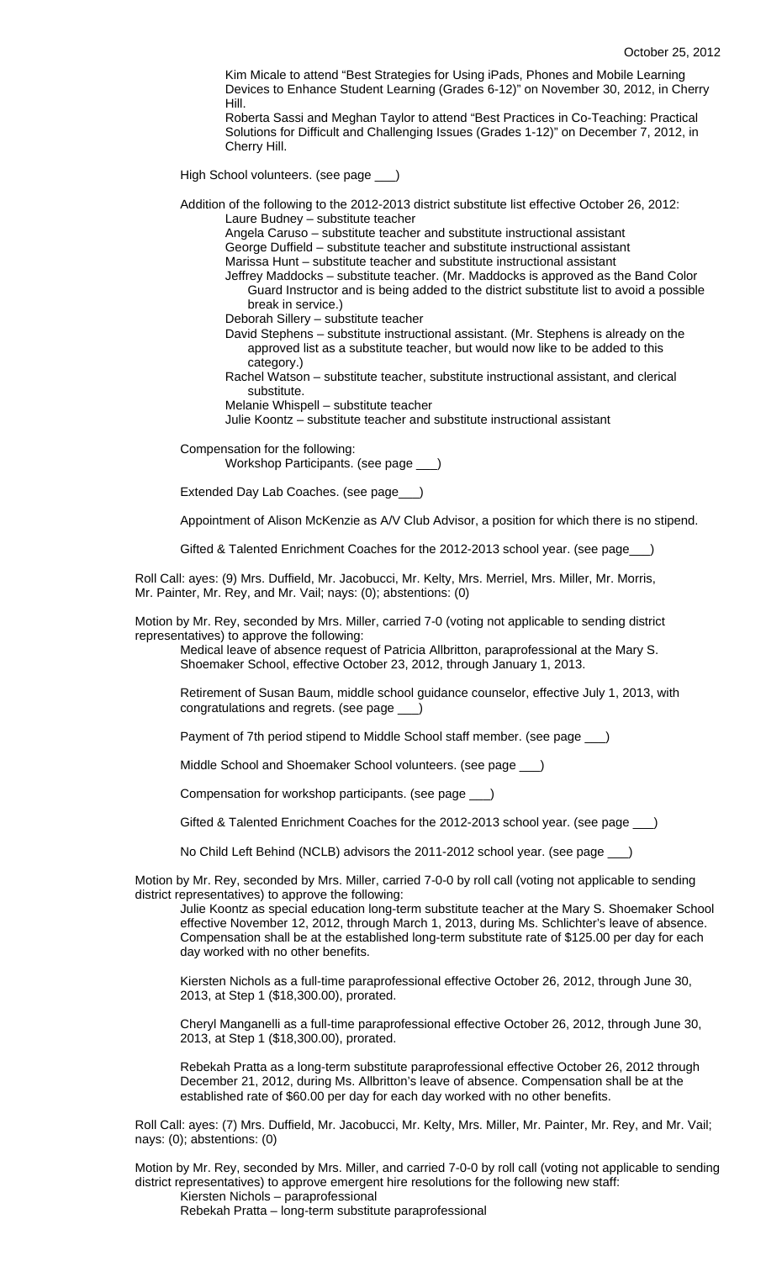Kim Micale to attend "Best Strategies for Using iPads, Phones and Mobile Learning Devices to Enhance Student Learning (Grades 6-12)" on November 30, 2012, in Cherry Hill.

Roberta Sassi and Meghan Taylor to attend "Best Practices in Co-Teaching: Practical Solutions for Difficult and Challenging Issues (Grades 1-12)" on December 7, 2012, in Cherry Hill.

High School volunteers. (see page \_\_\_)

Addition of the following to the 2012-2013 district substitute list effective October 26, 2012: Laure Budney – substitute teacher

Angela Caruso – substitute teacher and substitute instructional assistant George Duffield – substitute teacher and substitute instructional assistant Marissa Hunt – substitute teacher and substitute instructional assistant

Jeffrey Maddocks – substitute teacher. (Mr. Maddocks is approved as the Band Color Guard Instructor and is being added to the district substitute list to avoid a possible break in service.)

Deborah Sillery – substitute teacher

David Stephens – substitute instructional assistant. (Mr. Stephens is already on the approved list as a substitute teacher, but would now like to be added to this category.)

Rachel Watson – substitute teacher, substitute instructional assistant, and clerical substitute.

Melanie Whispell – substitute teacher

Julie Koontz – substitute teacher and substitute instructional assistant

Compensation for the following:

Workshop Participants. (see page \_\_\_)

Extended Day Lab Coaches. (see page\_\_\_)

Appointment of Alison McKenzie as A/V Club Advisor, a position for which there is no stipend.

Gifted & Talented Enrichment Coaches for the 2012-2013 school year. (see page\_\_\_)

Roll Call: ayes: (9) Mrs. Duffield, Mr. Jacobucci, Mr. Kelty, Mrs. Merriel, Mrs. Miller, Mr. Morris, Mr. Painter, Mr. Rey, and Mr. Vail; nays: (0); abstentions: (0)

Motion by Mr. Rey, seconded by Mrs. Miller, carried 7-0 (voting not applicable to sending district representatives) to approve the following:

Medical leave of absence request of Patricia Allbritton, paraprofessional at the Mary S. Shoemaker School, effective October 23, 2012, through January 1, 2013.

Retirement of Susan Baum, middle school guidance counselor, effective July 1, 2013, with congratulations and regrets. (see page \_\_\_)

Payment of 7th period stipend to Middle School staff member. (see page \_\_\_)

Middle School and Shoemaker School volunteers. (see page \_\_\_)

Compensation for workshop participants. (see page \_\_\_)

Gifted & Talented Enrichment Coaches for the 2012-2013 school year. (see page \_\_\_)

No Child Left Behind (NCLB) advisors the 2011-2012 school year. (see page \_\_\_)

Motion by Mr. Rey, seconded by Mrs. Miller, carried 7-0-0 by roll call (voting not applicable to sending district representatives) to approve the following:

Julie Koontz as special education long-term substitute teacher at the Mary S. Shoemaker School effective November 12, 2012, through March 1, 2013, during Ms. Schlichter's leave of absence. Compensation shall be at the established long-term substitute rate of \$125.00 per day for each day worked with no other benefits.

Kiersten Nichols as a full-time paraprofessional effective October 26, 2012, through June 30, 2013, at Step 1 (\$18,300.00), prorated.

Cheryl Manganelli as a full-time paraprofessional effective October 26, 2012, through June 30, 2013, at Step 1 (\$18,300.00), prorated.

Rebekah Pratta as a long-term substitute paraprofessional effective October 26, 2012 through December 21, 2012, during Ms. Allbritton's leave of absence. Compensation shall be at the established rate of \$60.00 per day for each day worked with no other benefits.

Roll Call: ayes: (7) Mrs. Duffield, Mr. Jacobucci, Mr. Kelty, Mrs. Miller, Mr. Painter, Mr. Rey, and Mr. Vail; nays: (0); abstentions: (0)

Motion by Mr. Rey, seconded by Mrs. Miller, and carried 7-0-0 by roll call (voting not applicable to sending district representatives) to approve emergent hire resolutions for the following new staff:

Kiersten Nichols – paraprofessional

Rebekah Pratta – long-term substitute paraprofessional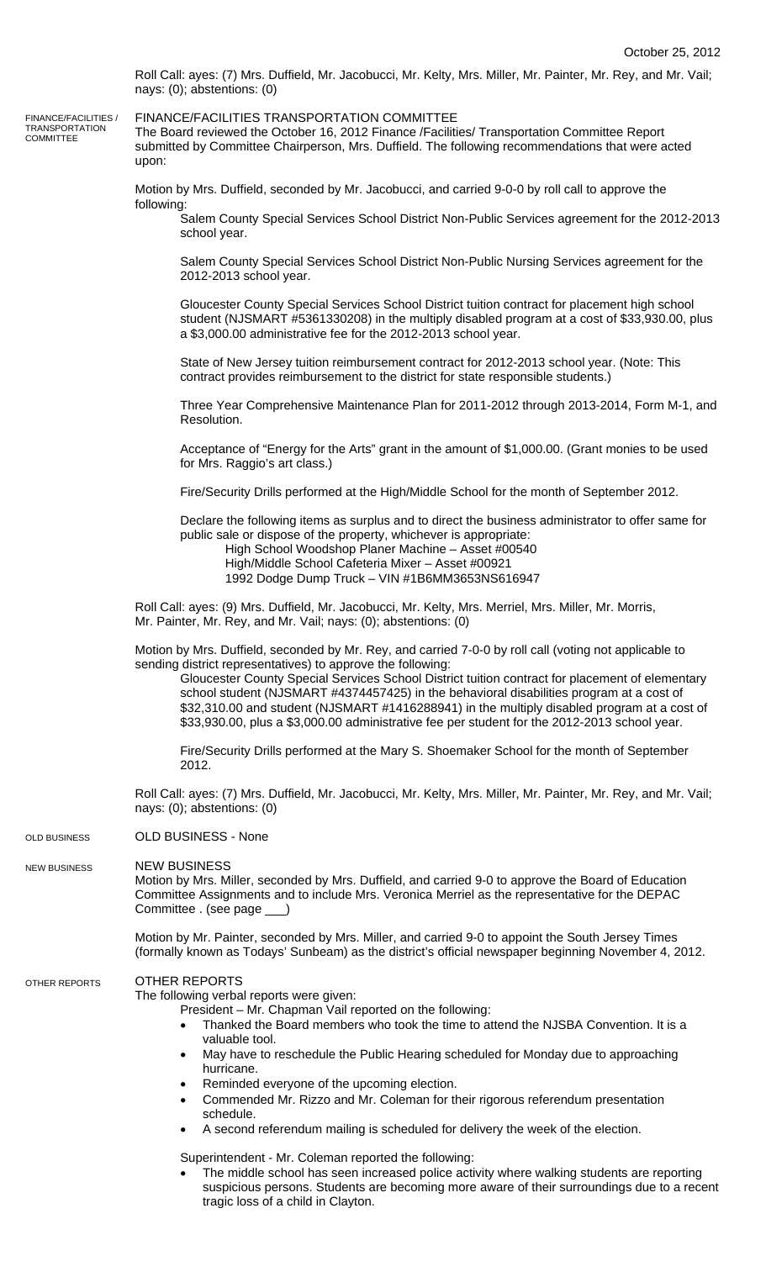Roll Call: ayes: (7) Mrs. Duffield, Mr. Jacobucci, Mr. Kelty, Mrs. Miller, Mr. Painter, Mr. Rey, and Mr. Vail; nays: (0); abstentions: (0)

FINANCE/FACILITIES / TRANSPORTATION COMMITTEE

FINANCE/FACILITIES TRANSPORTATION COMMITTEE

The Board reviewed the October 16, 2012 Finance /Facilities/ Transportation Committee Report submitted by Committee Chairperson, Mrs. Duffield. The following recommendations that were acted upon:

Motion by Mrs. Duffield, seconded by Mr. Jacobucci, and carried 9-0-0 by roll call to approve the following:

Salem County Special Services School District Non-Public Services agreement for the 2012-2013 school year.

Salem County Special Services School District Non-Public Nursing Services agreement for the 2012-2013 school year.

Gloucester County Special Services School District tuition contract for placement high school student (NJSMART #5361330208) in the multiply disabled program at a cost of \$33,930.00, plus a \$3,000.00 administrative fee for the 2012-2013 school year.

State of New Jersey tuition reimbursement contract for 2012-2013 school year. (Note: This contract provides reimbursement to the district for state responsible students.)

Three Year Comprehensive Maintenance Plan for 2011-2012 through 2013-2014, Form M-1, and Resolution.

Acceptance of "Energy for the Arts" grant in the amount of \$1,000.00. (Grant monies to be used for Mrs. Raggio's art class.)

Fire/Security Drills performed at the High/Middle School for the month of September 2012.

Declare the following items as surplus and to direct the business administrator to offer same for public sale or dispose of the property, whichever is appropriate:

High School Woodshop Planer Machine – Asset #00540

High/Middle School Cafeteria Mixer – Asset #00921

1992 Dodge Dump Truck – VIN #1B6MM3653NS616947

Roll Call: ayes: (9) Mrs. Duffield, Mr. Jacobucci, Mr. Kelty, Mrs. Merriel, Mrs. Miller, Mr. Morris, Mr. Painter, Mr. Rey, and Mr. Vail; nays: (0); abstentions: (0)

Motion by Mrs. Duffield, seconded by Mr. Rey, and carried 7-0-0 by roll call (voting not applicable to sending district representatives) to approve the following:

Gloucester County Special Services School District tuition contract for placement of elementary school student (NJSMART #4374457425) in the behavioral disabilities program at a cost of \$32,310.00 and student (NJSMART #1416288941) in the multiply disabled program at a cost of \$33,930.00, plus a \$3,000.00 administrative fee per student for the 2012-2013 school year.

Fire/Security Drills performed at the Mary S. Shoemaker School for the month of September 2012.

Roll Call: ayes: (7) Mrs. Duffield, Mr. Jacobucci, Mr. Kelty, Mrs. Miller, Mr. Painter, Mr. Rey, and Mr. Vail; nays: (0); abstentions: (0)

OLD BUSINESS - None OLD BUSINESS

NEW BUSINESS NEW BUSINESS

> Motion by Mrs. Miller, seconded by Mrs. Duffield, and carried 9-0 to approve the Board of Education Committee Assignments and to include Mrs. Veronica Merriel as the representative for the DEPAC Committee . (see page \_\_\_)

Motion by Mr. Painter, seconded by Mrs. Miller, and carried 9-0 to appoint the South Jersey Times (formally known as Todays' Sunbeam) as the district's official newspaper beginning November 4, 2012.

## OTHER REPORTS OTHER REPORTS

The following verbal reports were given:

President – Mr. Chapman Vail reported on the following:

- Thanked the Board members who took the time to attend the NJSBA Convention. It is a valuable tool.
- May have to reschedule the Public Hearing scheduled for Monday due to approaching hurricane.
- Reminded everyone of the upcoming election.
- Commended Mr. Rizzo and Mr. Coleman for their rigorous referendum presentation schedule.
- A second referendum mailing is scheduled for delivery the week of the election.

Superintendent - Mr. Coleman reported the following:

• The middle school has seen increased police activity where walking students are reporting suspicious persons. Students are becoming more aware of their surroundings due to a recent tragic loss of a child in Clayton.